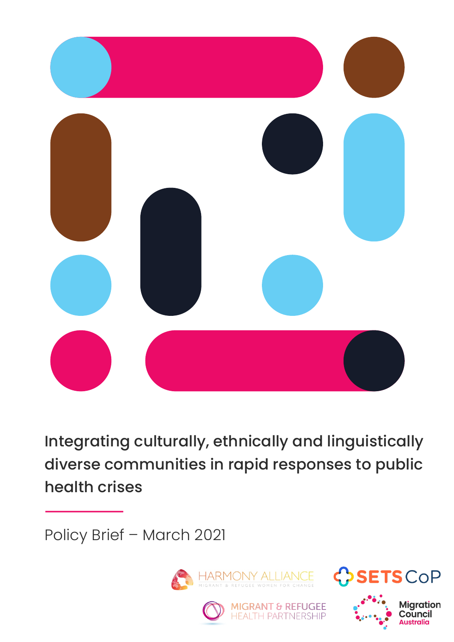

Integrating culturally, ethnically and linguistically diverse communities in rapid responses to public health crises

Policy Brief – March 2021







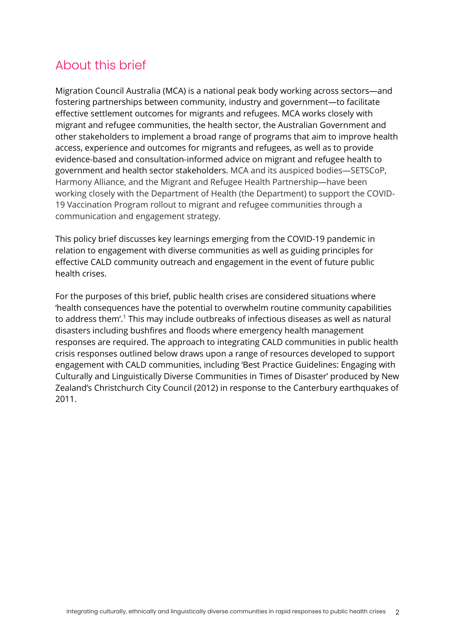## About this brief

Migration Council Australia (MCA) is a national peak body working across sectors—and fostering partnerships between community, industry and government—to facilitate effective settlement outcomes for migrants and refugees. MCA works closely with migrant and refugee communities, the health sector, the Australian Government and other stakeholders to implement a broad range of programs that aim to improve health access, experience and outcomes for migrants and refugees, as well as to provide evidence-based and consultation-informed advice on migrant and refugee health to government and health sector stakeholders. MCA and its auspiced bodies—SETSCoP, Harmony Alliance, and the Migrant and Refugee Health Partnership—have been working closely with the Department of Health (the Department) to support the COVID-19 Vaccination Program rollout to migrant and refugee communities through a communication and engagement strategy.

This policy brief discusses key learnings emerging from the COVID-19 pandemic in relation to engagement with diverse communities as well as guiding principles for effective CALD community outreach and engagement in the event of future public health crises.

For the purposes of this brief, public health crises are considered situations where 'health consequences have the potential to overwhelm routine community capabilities to address them'.1 This may include outbreaks of infectious diseases as well as natural disasters including bushfires and floods where emergency health management responses are required. The approach to integrating CALD communities in public health crisis responses outlined below draws upon a range of resources developed to support engagement with CALD communities, including 'Best Practice Guidelines: Engaging with Culturally and Linguistically Diverse Communities in Times of Disaster' produced by New Zealand's Christchurch City Council (2012) in response to the Canterbury earthquakes of 2011.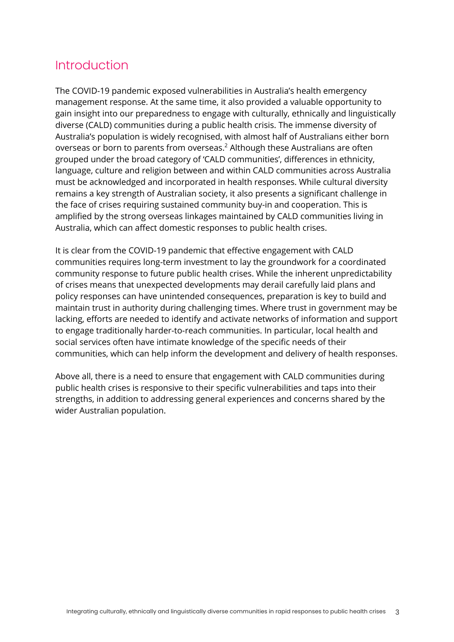## **Introduction**

The COVID-19 pandemic exposed vulnerabilities in Australia's health emergency management response. At the same time, it also provided a valuable opportunity to gain insight into our preparedness to engage with culturally, ethnically and linguistically diverse (CALD) communities during a public health crisis. The immense diversity of Australia's population is widely recognised, with almost half of Australians either born overseas or born to parents from overseas.<sup>2</sup> Although these Australians are often grouped under the broad category of 'CALD communities', differences in ethnicity, language, culture and religion between and within CALD communities across Australia must be acknowledged and incorporated in health responses. While cultural diversity remains a key strength of Australian society, it also presents a significant challenge in the face of crises requiring sustained community buy-in and cooperation. This is amplified by the strong overseas linkages maintained by CALD communities living in Australia, which can affect domestic responses to public health crises.

It is clear from the COVID-19 pandemic that effective engagement with CALD communities requires long-term investment to lay the groundwork for a coordinated community response to future public health crises. While the inherent unpredictability of crises means that unexpected developments may derail carefully laid plans and policy responses can have unintended consequences, preparation is key to build and maintain trust in authority during challenging times. Where trust in government may be lacking, efforts are needed to identify and activate networks of information and support to engage traditionally harder-to-reach communities. In particular, local health and social services often have intimate knowledge of the specific needs of their communities, which can help inform the development and delivery of health responses.

Above all, there is a need to ensure that engagement with CALD communities during public health crises is responsive to their specific vulnerabilities and taps into their strengths, in addition to addressing general experiences and concerns shared by the wider Australian population.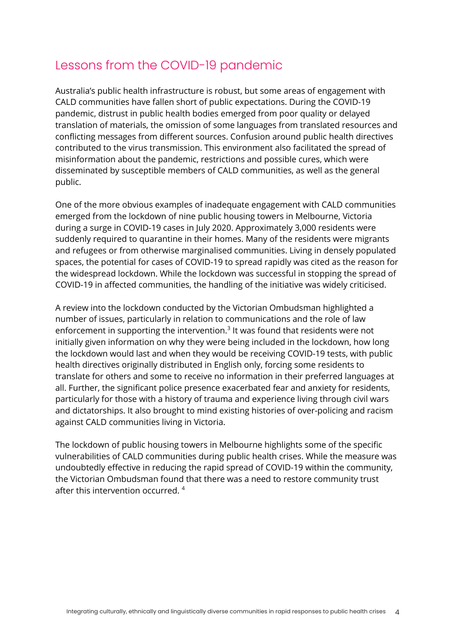## Lessons from the COVID-19 pandemic

Australia's public health infrastructure is robust, but some areas of engagement with CALD communities have fallen short of public expectations. During the COVID-19 pandemic, distrust in public health bodies emerged from poor quality or delayed translation of materials, the omission of some languages from translated resources and conflicting messages from different sources. Confusion around public health directives contributed to the virus transmission. This environment also facilitated the spread of misinformation about the pandemic, restrictions and possible cures, which were disseminated by susceptible members of CALD communities, as well as the general public.

One of the more obvious examples of inadequate engagement with CALD communities emerged from the lockdown of nine public housing towers in Melbourne, Victoria during a surge in COVID-19 cases in July 2020. Approximately 3,000 residents were suddenly required to quarantine in their homes. Many of the residents were migrants and refugees or from otherwise marginalised communities. Living in densely populated spaces, the potential for cases of COVID-19 to spread rapidly was cited as the reason for the widespread lockdown. While the lockdown was successful in stopping the spread of COVID-19 in affected communities, the handling of the initiative was widely criticised.

A review into the lockdown conducted by the Victorian Ombudsman highlighted a number of issues, particularly in relation to communications and the role of law enforcement in supporting the intervention. $3$  It was found that residents were not initially given information on why they were being included in the lockdown, how long the lockdown would last and when they would be receiving COVID-19 tests, with public health directives originally distributed in English only, forcing some residents to translate for others and some to receive no information in their preferred languages at all. Further, the significant police presence exacerbated fear and anxiety for residents, particularly for those with a history of trauma and experience living through civil wars and dictatorships. It also brought to mind existing histories of over-policing and racism against CALD communities living in Victoria.

The lockdown of public housing towers in Melbourne highlights some of the specific vulnerabilities of CALD communities during public health crises. While the measure was undoubtedly effective in reducing the rapid spread of COVID-19 within the community, the Victorian Ombudsman found that there was a need to restore community trust after this intervention occurred. <sup>4</sup>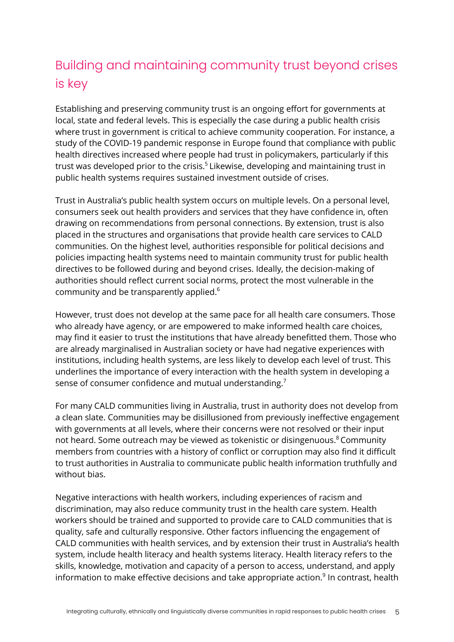# Building and maintaining community trust beyond crises is key

Establishing and preserving community trust is an ongoing effort for governments at local, state and federal levels. This is especially the case during a public health crisis where trust in government is critical to achieve community cooperation. For instance, a study of the COVID-19 pandemic response in Europe found that compliance with public health directives increased where people had trust in policymakers, particularly if this trust was developed prior to the crisis.<sup>5</sup> Likewise, developing and maintaining trust in public health systems requires sustained investment outside of crises.

Trust in Australia's public health system occurs on multiple levels. On a personal level, consumers seek out health providers and services that they have confidence in, often drawing on recommendations from personal connections. By extension, trust is also placed in the structures and organisations that provide health care services to CALD communities. On the highest level, authorities responsible for political decisions and policies impacting health systems need to maintain community trust for public health directives to be followed during and beyond crises. Ideally, the decision-making of authorities should reflect current social norms, protect the most vulnerable in the community and be transparently applied.6

However, trust does not develop at the same pace for all health care consumers. Those who already have agency, or are empowered to make informed health care choices, may find it easier to trust the institutions that have already benefitted them. Those who are already marginalised in Australian society or have had negative experiences with institutions, including health systems, are less likely to develop each level of trust. This underlines the importance of every interaction with the health system in developing a sense of consumer confidence and mutual understanding.<sup>7</sup>

For many CALD communities living in Australia, trust in authority does not develop from a clean slate. Communities may be disillusioned from previously ineffective engagement with governments at all levels, where their concerns were not resolved or their input not heard. Some outreach may be viewed as tokenistic or disingenuous.<sup>8</sup> Community members from countries with a history of conflict or corruption may also find it difficult to trust authorities in Australia to communicate public health information truthfully and without bias.

Negative interactions with health workers, including experiences of racism and discrimination, may also reduce community trust in the health care system. Health workers should be trained and supported to provide care to CALD communities that is quality, safe and culturally responsive. Other factors influencing the engagement of CALD communities with health services, and by extension their trust in Australia's health system, include health literacy and health systems literacy. Health literacy refers to the skills, knowledge, motivation and capacity of a person to access, understand, and apply information to make effective decisions and take appropriate action. $9$  In contrast, health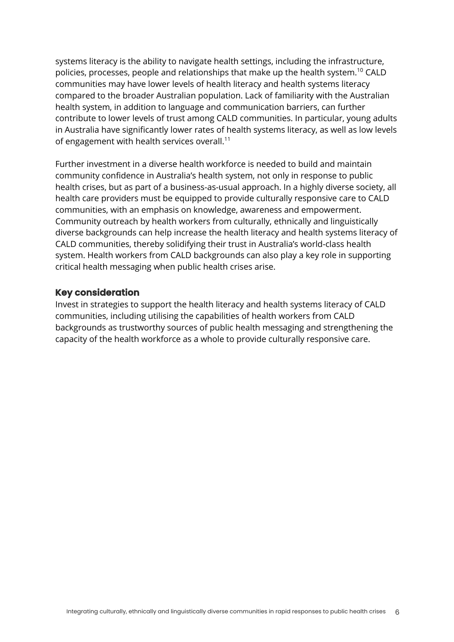systems literacy is the ability to navigate health settings, including the infrastructure, policies, processes, people and relationships that make up the health system.<sup>10</sup> CALD communities may have lower levels of health literacy and health systems literacy compared to the broader Australian population. Lack of familiarity with the Australian health system, in addition to language and communication barriers, can further contribute to lower levels of trust among CALD communities. In particular, young adults in Australia have significantly lower rates of health systems literacy, as well as low levels of engagement with health services overall.<sup>11</sup>

Further investment in a diverse health workforce is needed to build and maintain community confidence in Australia's health system, not only in response to public health crises, but as part of a business-as-usual approach. In a highly diverse society, all health care providers must be equipped to provide culturally responsive care to CALD communities, with an emphasis on knowledge, awareness and empowerment. Community outreach by health workers from culturally, ethnically and linguistically diverse backgrounds can help increase the health literacy and health systems literacy of CALD communities, thereby solidifying their trust in Australia's world-class health system. Health workers from CALD backgrounds can also play a key role in supporting critical health messaging when public health crises arise.

#### **Key consideration**

Invest in strategies to support the health literacy and health systems literacy of CALD communities, including utilising the capabilities of health workers from CALD backgrounds as trustworthy sources of public health messaging and strengthening the capacity of the health workforce as a whole to provide culturally responsive care.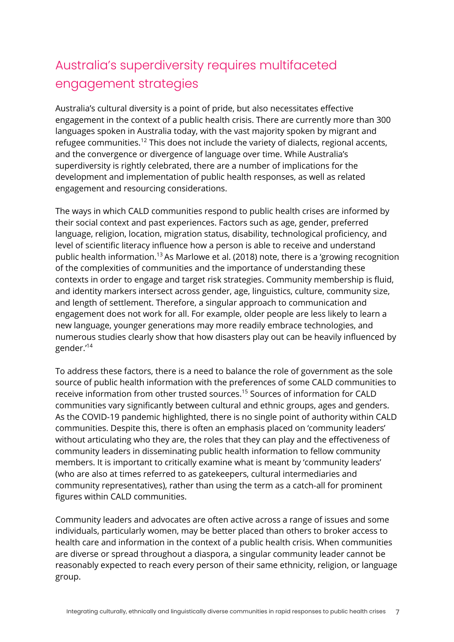# Australia's superdiversity requires multifaceted engagement strategies

Australia's cultural diversity is a point of pride, but also necessitates effective engagement in the context of a public health crisis. There are currently more than 300 languages spoken in Australia today, with the vast majority spoken by migrant and refugee communities.<sup>12</sup> This does not include the variety of dialects, regional accents, and the convergence or divergence of language over time. While Australia's superdiversity is rightly celebrated, there are a number of implications for the development and implementation of public health responses, as well as related engagement and resourcing considerations.

The ways in which CALD communities respond to public health crises are informed by their social context and past experiences. Factors such as age, gender, preferred language, religion, location, migration status, disability, technological proficiency, and level of scientific literacy influence how a person is able to receive and understand public health information.<sup>13</sup> As Marlowe et al. (2018) note, there is a 'growing recognition of the complexities of communities and the importance of understanding these contexts in order to engage and target risk strategies. Community membership is fluid, and identity markers intersect across gender, age, linguistics, culture, community size, and length of settlement. Therefore, a singular approach to communication and engagement does not work for all. For example, older people are less likely to learn a new language, younger generations may more readily embrace technologies, and numerous studies clearly show that how disasters play out can be heavily influenced by gender.'14

To address these factors, there is a need to balance the role of government as the sole source of public health information with the preferences of some CALD communities to receive information from other trusted sources.<sup>15</sup> Sources of information for CALD communities vary significantly between cultural and ethnic groups, ages and genders. As the COVID-19 pandemic highlighted, there is no single point of authority within CALD communities. Despite this, there is often an emphasis placed on 'community leaders' without articulating who they are, the roles that they can play and the effectiveness of community leaders in disseminating public health information to fellow community members. It is important to critically examine what is meant by 'community leaders' (who are also at times referred to as gatekeepers, cultural intermediaries and community representatives), rather than using the term as a catch-all for prominent figures within CALD communities.

Community leaders and advocates are often active across a range of issues and some individuals, particularly women, may be better placed than others to broker access to health care and information in the context of a public health crisis. When communities are diverse or spread throughout a diaspora, a singular community leader cannot be reasonably expected to reach every person of their same ethnicity, religion, or language group.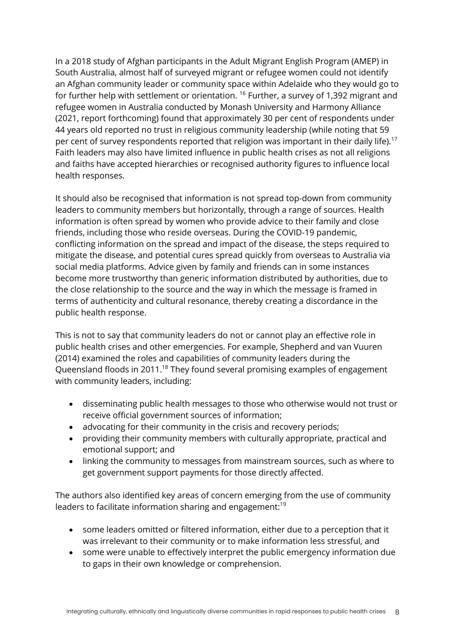In a 2018 study of Afghan participants in the Adult Migrant English Program (AMEP) in South Australia, almost half of surveyed migrant or refugee women could not identify an Afghan community leader or community space within Adelaide who they would go to for further help with settlement or orientation. <sup>16</sup> Further, a survey of 1,392 migrant and refugee women in Australia conducted by Monash University and Harmony Alliance (2021, report forthcoming) found that approximately 30 per cent of respondents under 44 years old reported no trust in religious community leadership (while noting that 59 per cent of survey respondents reported that religion was important in their daily life).<sup>17</sup> Faith leaders may also have limited influence in public health crises as not all religions and faiths have accepted hierarchies or recognised authority figures to influence local health responses.

It should also be recognised that information is not spread top-down from community leaders to community members but horizontally, through a range of sources. Health information is often spread by women who provide advice to their family and close friends, including those who reside overseas. During the COVID-19 pandemic, conflicting information on the spread and impact of the disease, the steps required to mitigate the disease, and potential cures spread quickly from overseas to Australia via social media platforms. Advice given by family and friends can in some instances become more trustworthy than generic information distributed by authorities, due to the close relationship to the source and the way in which the message is framed in terms of authenticity and cultural resonance, thereby creating a discordance in the public health response.

This is not to say that community leaders do not or cannot play an effective role in public health crises and other emergencies. For example, Shepherd and van Vuuren (2014) examined the roles and capabilities of community leaders during the Queensland floods in 2011.<sup>18</sup> They found several promising examples of engagement with community leaders, including:

- disseminating public health messages to those who otherwise would not trust or receive official government sources of information;
- advocating for their community in the crisis and recovery periods;
- providing their community members with culturally appropriate, practical and emotional support; and
- linking the community to messages from mainstream sources, such as where to get government support payments for those directly affected.

The authors also identified key areas of concern emerging from the use of community leaders to facilitate information sharing and engagement:<sup>19</sup>

- some leaders omitted or filtered information, either due to a perception that it was irrelevant to their community or to make information less stressful, and
- some were unable to effectively interpret the public emergency information due to gaps in their own knowledge or comprehension.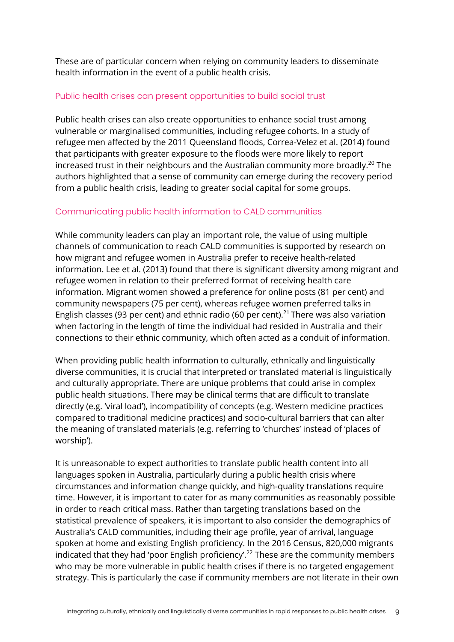These are of particular concern when relying on community leaders to disseminate health information in the event of a public health crisis.

#### Public health crises can present opportunities to build social trust

Public health crises can also create opportunities to enhance social trust among vulnerable or marginalised communities, including refugee cohorts. In a study of refugee men affected by the 2011 Queensland floods, Correa-Velez et al. (2014) found that participants with greater exposure to the floods were more likely to report increased trust in their neighbours and the Australian community more broadly.<sup>20</sup> The authors highlighted that a sense of community can emerge during the recovery period from a public health crisis, leading to greater social capital for some groups.

#### Communicating public health information to CALD communities

While community leaders can play an important role, the value of using multiple channels of communication to reach CALD communities is supported by research on how migrant and refugee women in Australia prefer to receive health-related information. Lee et al. (2013) found that there is significant diversity among migrant and refugee women in relation to their preferred format of receiving health care information. Migrant women showed a preference for online posts (81 per cent) and community newspapers (75 per cent), whereas refugee women preferred talks in English classes (93 per cent) and ethnic radio (60 per cent).<sup>21</sup> There was also variation when factoring in the length of time the individual had resided in Australia and their connections to their ethnic community, which often acted as a conduit of information.

When providing public health information to culturally, ethnically and linguistically diverse communities, it is crucial that interpreted or translated material is linguistically and culturally appropriate. There are unique problems that could arise in complex public health situations. There may be clinical terms that are difficult to translate directly (e.g. 'viral load'), incompatibility of concepts (e.g. Western medicine practices compared to traditional medicine practices) and socio-cultural barriers that can alter the meaning of translated materials (e.g. referring to 'churches' instead of 'places of worship').

It is unreasonable to expect authorities to translate public health content into all languages spoken in Australia, particularly during a public health crisis where circumstances and information change quickly, and high-quality translations require time. However, it is important to cater for as many communities as reasonably possible in order to reach critical mass. Rather than targeting translations based on the statistical prevalence of speakers, it is important to also consider the demographics of Australia's CALD communities, including their age profile, year of arrival, language spoken at home and existing English proficiency. In the 2016 Census, 820,000 migrants indicated that they had 'poor English proficiency'.<sup>22</sup> These are the community members who may be more vulnerable in public health crises if there is no targeted engagement strategy. This is particularly the case if community members are not literate in their own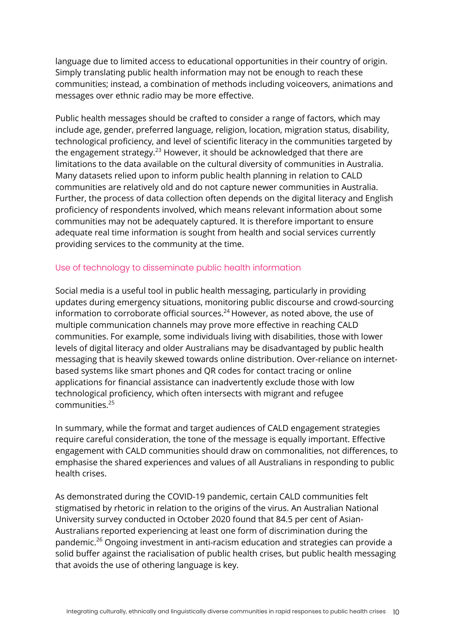language due to limited access to educational opportunities in their country of origin. Simply translating public health information may not be enough to reach these communities; instead, a combination of methods including voiceovers, animations and messages over ethnic radio may be more effective.

Public health messages should be crafted to consider a range of factors, which may include age, gender, preferred language, religion, location, migration status, disability, technological proficiency, and level of scientific literacy in the communities targeted by the engagement strategy.<sup>23</sup> However, it should be acknowledged that there are limitations to the data available on the cultural diversity of communities in Australia. Many datasets relied upon to inform public health planning in relation to CALD communities are relatively old and do not capture newer communities in Australia. Further, the process of data collection often depends on the digital literacy and English proficiency of respondents involved, which means relevant information about some communities may not be adequately captured. It is therefore important to ensure adequate real time information is sought from health and social services currently providing services to the community at the time.

#### Use of technology to disseminate public health information

Social media is a useful tool in public health messaging, particularly in providing updates during emergency situations, monitoring public discourse and crowd-sourcing information to corroborate official sources. $24$  However, as noted above, the use of multiple communication channels may prove more effective in reaching CALD communities. For example, some individuals living with disabilities, those with lower levels of digital literacy and older Australians may be disadvantaged by public health messaging that is heavily skewed towards online distribution. Over-reliance on internetbased systems like smart phones and QR codes for contact tracing or online applications for financial assistance can inadvertently exclude those with low technological proficiency, which often intersects with migrant and refugee communities.25

In summary, while the format and target audiences of CALD engagement strategies require careful consideration, the tone of the message is equally important. Effective engagement with CALD communities should draw on commonalities, not differences, to emphasise the shared experiences and values of all Australians in responding to public health crises.

As demonstrated during the COVID-19 pandemic, certain CALD communities felt stigmatised by rhetoric in relation to the origins of the virus. An Australian National University survey conducted in October 2020 found that 84.5 per cent of Asian-Australians reported experiencing at least one form of discrimination during the pandemic.<sup>26</sup> Ongoing investment in anti-racism education and strategies can provide a solid buffer against the racialisation of public health crises, but public health messaging that avoids the use of othering language is key.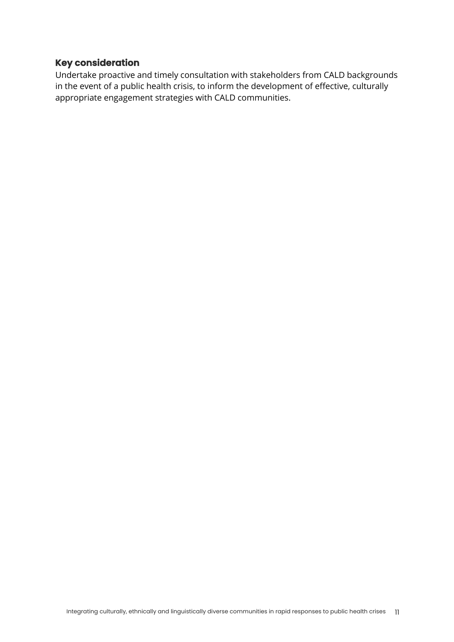### **Key consideration**

Undertake proactive and timely consultation with stakeholders from CALD backgrounds in the event of a public health crisis, to inform the development of effective, culturally appropriate engagement strategies with CALD communities.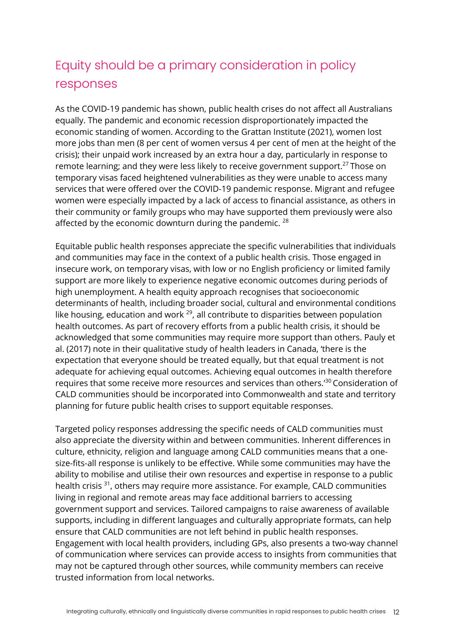## Equity should be a primary consideration in policy responses

As the COVID-19 pandemic has shown, public health crises do not affect all Australians equally. The pandemic and economic recession disproportionately impacted the economic standing of women. According to the Grattan Institute (2021), women lost more jobs than men (8 per cent of women versus 4 per cent of men at the height of the crisis); their unpaid work increased by an extra hour a day, particularly in response to remote learning; and they were less likely to receive government support.<sup>27</sup> Those on temporary visas faced heightened vulnerabilities as they were unable to access many services that were offered over the COVID-19 pandemic response. Migrant and refugee women were especially impacted by a lack of access to financial assistance, as others in their community or family groups who may have supported them previously were also affected by the economic downturn during the pandemic.  $^{28}$ 

Equitable public health responses appreciate the specific vulnerabilities that individuals and communities may face in the context of a public health crisis. Those engaged in insecure work, on temporary visas, with low or no English proficiency or limited family support are more likely to experience negative economic outcomes during periods of high unemployment. A health equity approach recognises that socioeconomic determinants of health, including broader social, cultural and environmental conditions like housing, education and work  $^{29}$ , all contribute to disparities between population health outcomes. As part of recovery efforts from a public health crisis, it should be acknowledged that some communities may require more support than others. Pauly et al. (2017) note in their qualitative study of health leaders in Canada, 'there is the expectation that everyone should be treated equally, but that equal treatment is not adequate for achieving equal outcomes. Achieving equal outcomes in health therefore requires that some receive more resources and services than others.'<sup>30</sup> Consideration of CALD communities should be incorporated into Commonwealth and state and territory planning for future public health crises to support equitable responses.

Targeted policy responses addressing the specific needs of CALD communities must also appreciate the diversity within and between communities. Inherent differences in culture, ethnicity, religion and language among CALD communities means that a onesize-fits-all response is unlikely to be effective. While some communities may have the ability to mobilise and utilise their own resources and expertise in response to a public health crisis 31, others may require more assistance. For example, CALD communities living in regional and remote areas may face additional barriers to accessing government support and services. Tailored campaigns to raise awareness of available supports, including in different languages and culturally appropriate formats, can help ensure that CALD communities are not left behind in public health responses. Engagement with local health providers, including GPs, also presents a two-way channel of communication where services can provide access to insights from communities that may not be captured through other sources, while community members can receive trusted information from local networks.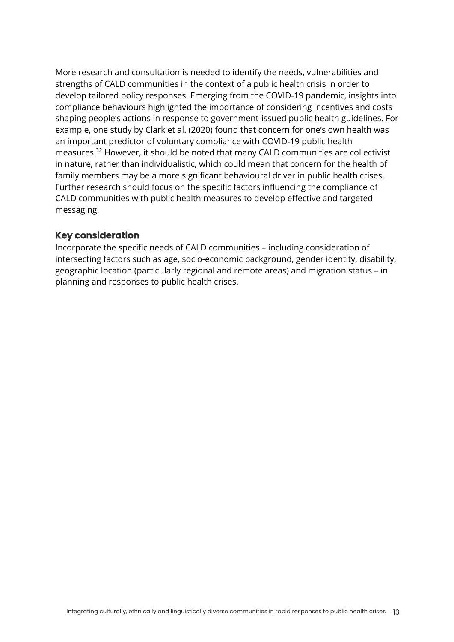More research and consultation is needed to identify the needs, vulnerabilities and strengths of CALD communities in the context of a public health crisis in order to develop tailored policy responses. Emerging from the COVID-19 pandemic, insights into compliance behaviours highlighted the importance of considering incentives and costs shaping people's actions in response to government-issued public health guidelines. For example, one study by Clark et al. (2020) found that concern for one's own health was an important predictor of voluntary compliance with COVID-19 public health measures.32 However, it should be noted that many CALD communities are collectivist in nature, rather than individualistic, which could mean that concern for the health of family members may be a more significant behavioural driver in public health crises. Further research should focus on the specific factors influencing the compliance of CALD communities with public health measures to develop effective and targeted messaging.

### **Key consideration**

Incorporate the specific needs of CALD communities – including consideration of intersecting factors such as age, socio-economic background, gender identity, disability, geographic location (particularly regional and remote areas) and migration status – in planning and responses to public health crises.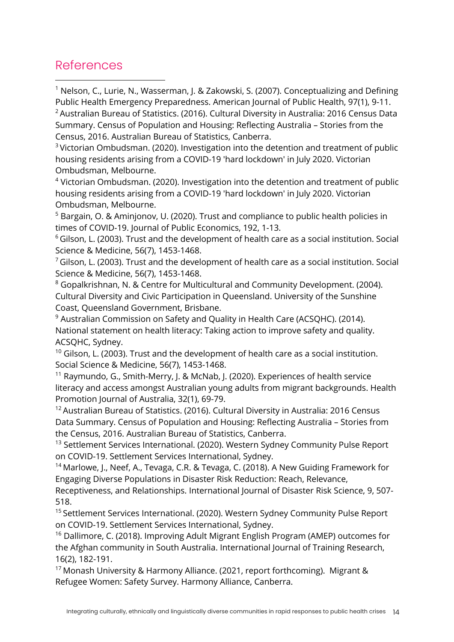### References

<sup>1</sup> Nelson, C., Lurie, N., Wasserman, J. & Zakowski, S. (2007). Conceptualizing and Defining Public Health Emergency Preparedness. American Journal of Public Health, 97(1), 9-11.

 $2$  Australian Bureau of Statistics. (2016). Cultural Diversity in Australia: 2016 Census Data Summary. Census of Population and Housing: Reflecting Australia – Stories from the Census, 2016. Australian Bureau of Statistics, Canberra.

<sup>3</sup> Victorian Ombudsman. (2020). Investigation into the detention and treatment of public housing residents arising from a COVID-19 'hard lockdown' in July 2020. Victorian Ombudsman, Melbourne.

 $4$  Victorian Ombudsman. (2020). Investigation into the detention and treatment of public housing residents arising from a COVID-19 'hard lockdown' in July 2020. Victorian Ombudsman, Melbourne.

<sup>5</sup> Bargain, O. & Aminjonov, U. (2020). Trust and compliance to public health policies in times of COVID-19. Journal of Public Economics, 192, 1-13.

 $6$  Gilson, L. (2003). Trust and the development of health care as a social institution. Social Science & Medicine, 56(7), 1453-1468.

 $7$  Gilson, L. (2003). Trust and the development of health care as a social institution. Social Science & Medicine, 56(7), 1453-1468.

<sup>8</sup> Gopalkrishnan, N. & Centre for Multicultural and Community Development. (2004). Cultural Diversity and Civic Participation in Queensland. University of the Sunshine Coast, Queensland Government, Brisbane.

 $9$  Australian Commission on Safety and Quality in Health Care (ACSQHC). (2014). National statement on health literacy: Taking action to improve safety and quality. ACSQHC, Sydney.

 $10$  Gilson, L. (2003). Trust and the development of health care as a social institution. Social Science & Medicine, 56(7), 1453-1468.

<sup>11</sup> Raymundo, G., Smith-Merry, J. & McNab, J. (2020). Experiences of health service literacy and access amongst Australian young adults from migrant backgrounds. Health Promotion Journal of Australia, 32(1), 69-79.

<sup>12</sup> Australian Bureau of Statistics. (2016). Cultural Diversity in Australia: 2016 Census Data Summary. Census of Population and Housing: Reflecting Australia – Stories from the Census, 2016. Australian Bureau of Statistics, Canberra.

<sup>13</sup> Settlement Services International. (2020). Western Sydney Community Pulse Report on COVID-19. Settlement Services International, Sydney.

<sup>14</sup> Marlowe, J., Neef, A., Tevaga, C.R. & Tevaga, C. (2018). A New Guiding Framework for Engaging Diverse Populations in Disaster Risk Reduction: Reach, Relevance,

Receptiveness, and Relationships. International Journal of Disaster Risk Science, 9, 507- 518.

<sup>15</sup> Settlement Services International. (2020). Western Sydney Community Pulse Report on COVID-19. Settlement Services International, Sydney.

<sup>16</sup> Dallimore, C. (2018). Improving Adult Migrant English Program (AMEP) outcomes for the Afghan community in South Australia. International Journal of Training Research, 16(2), 182-191.

<sup>17</sup> Monash University & Harmony Alliance. (2021, report forthcoming). Migrant & Refugee Women: Safety Survey. Harmony Alliance, Canberra.